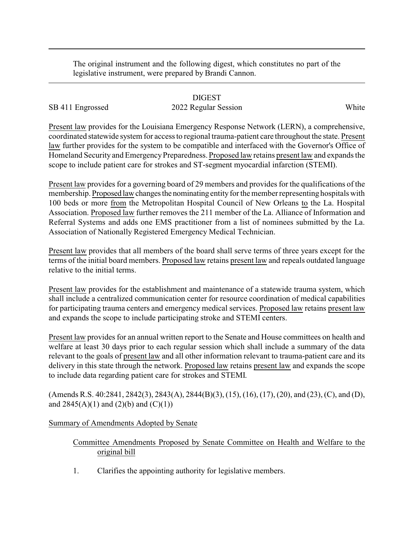The original instrument and the following digest, which constitutes no part of the legislative instrument, were prepared by Brandi Cannon.

## DIGEST

## SB 411 Engrossed 2022 Regular Session White

Present law provides for the Louisiana Emergency Response Network (LERN), a comprehensive, coordinated statewide system for access to regional trauma-patient care throughout the state. Present law further provides for the system to be compatible and interfaced with the Governor's Office of Homeland Security and Emergency Preparedness. Proposed law retains present law and expands the scope to include patient care for strokes and ST-segment myocardial infarction (STEMI).

Present law provides for a governing board of 29 members and provides for the qualifications of the membership. Proposed law changes the nominating entity for the member representing hospitals with 100 beds or more from the Metropolitan Hospital Council of New Orleans to the La. Hospital Association. Proposed law further removes the 211 member of the La. Alliance of Information and Referral Systems and adds one EMS practitioner from a list of nominees submitted by the La. Association of Nationally Registered Emergency Medical Technician.

Present law provides that all members of the board shall serve terms of three years except for the terms of the initial board members. Proposed law retains present law and repeals outdated language relative to the initial terms.

Present law provides for the establishment and maintenance of a statewide trauma system, which shall include a centralized communication center for resource coordination of medical capabilities for participating trauma centers and emergency medical services. Proposed law retains present law and expands the scope to include participating stroke and STEMI centers.

Present law provides for an annual written report to the Senate and House committees on health and welfare at least 30 days prior to each regular session which shall include a summary of the data relevant to the goals of present law and all other information relevant to trauma-patient care and its delivery in this state through the network. Proposed law retains present law and expands the scope to include data regarding patient care for strokes and STEMI.

(Amends R.S. 40:2841, 2842(3), 2843(A), 2844(B)(3), (15), (16), (17), (20), and (23), (C), and (D), and  $2845(A)(1)$  and  $(2)(b)$  and  $(C)(1))$ 

## Summary of Amendments Adopted by Senate

## Committee Amendments Proposed by Senate Committee on Health and Welfare to the original bill

1. Clarifies the appointing authority for legislative members.